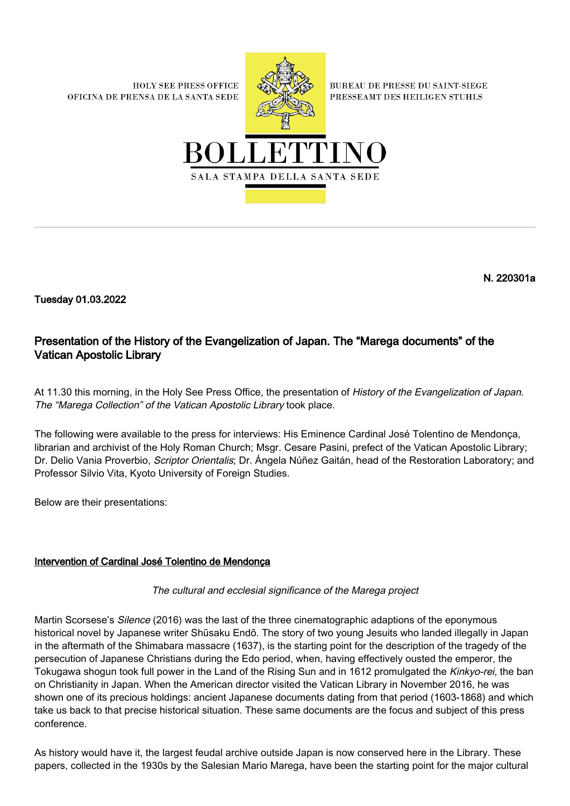**HOLY SEE PRESS OFFICE** OFICINA DE PRENSA DE LA SANTA SEDE



**BUREAU DE PRESSE DU SAINT-SIEGE** PRESSEAMT DES HEILIGEN STUHLS



N. 220301a

Tuesday 01.03.2022

# Presentation of the History of the Evangelization of Japan. The "Marega documents" of the Vatican Apostolic Library

At 11.30 this morning, in the Holy See Press Office, the presentation of History of the Evangelization of Japan. The "Marega Collection" of the Vatican Apostolic Library took place.

The following were available to the press for interviews: His Eminence Cardinal José Tolentino de Mendonça, librarian and archivist of the Holy Roman Church; Msgr. Cesare Pasini, prefect of the Vatican Apostolic Library; Dr. Delio Vania Proverbio, Scriptor Orientalis; Dr. Ángela Núñez Gaitán, head of the Restoration Laboratory; and Professor Silvio Vita, Kyoto University of Foreign Studies.

Below are their presentations:

## Intervention of Cardinal José Tolentino de Mendonça

The cultural and ecclesial significance of the Marega project

Martin Scorsese's Silence (2016) was the last of the three cinematographic adaptions of the eponymous historical novel by Japanese writer Shūsaku Endō. The story of two young Jesuits who landed illegally in Japan in the aftermath of the Shimabara massacre (1637), is the starting point for the description of the tragedy of the persecution of Japanese Christians during the Edo period, when, having effectively ousted the emperor, the Tokugawa shogun took full power in the Land of the Rising Sun and in 1612 promulgated the Kinkyo-rei, the ban on Christianity in Japan. When the American director visited the Vatican Library in November 2016, he was shown one of its precious holdings: ancient Japanese documents dating from that period (1603-1868) and which take us back to that precise historical situation. These same documents are the focus and subject of this press conference.

As history would have it, the largest feudal archive outside Japan is now conserved here in the Library. These papers, collected in the 1930s by the Salesian Mario Marega, have been the starting point for the major cultural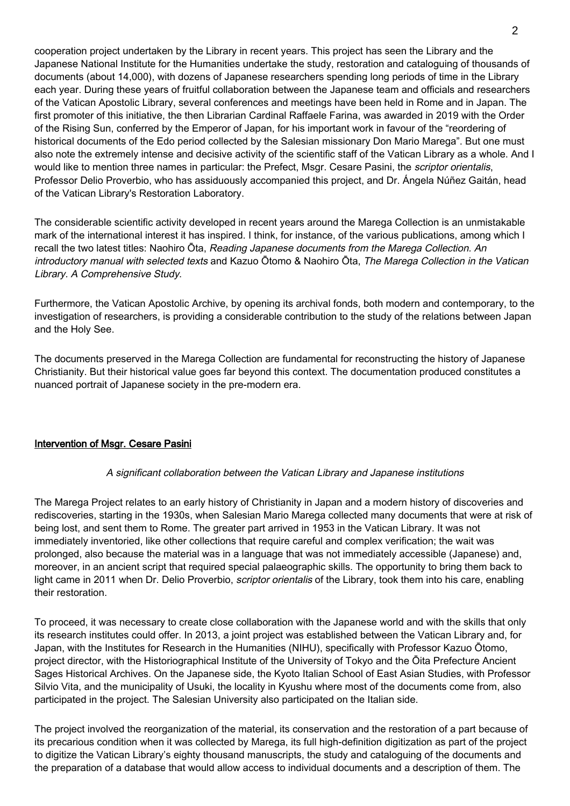cooperation project undertaken by the Library in recent years. This project has seen the Library and the Japanese National Institute for the Humanities undertake the study, restoration and cataloguing of thousands of documents (about 14,000), with dozens of Japanese researchers spending long periods of time in the Library each year. During these years of fruitful collaboration between the Japanese team and officials and researchers of the Vatican Apostolic Library, several conferences and meetings have been held in Rome and in Japan. The first promoter of this initiative, the then Librarian Cardinal Raffaele Farina, was awarded in 2019 with the Order of the Rising Sun, conferred by the Emperor of Japan, for his important work in favour of the "reordering of historical documents of the Edo period collected by the Salesian missionary Don Mario Marega". But one must also note the extremely intense and decisive activity of the scientific staff of the Vatican Library as a whole. And I would like to mention three names in particular: the Prefect, Msgr. Cesare Pasini, the *scriptor orientalis*, Professor Delio Proverbio, who has assiduously accompanied this project, and Dr. Ángela Núñez Gaitán, head of the Vatican Library's Restoration Laboratory.

The considerable scientific activity developed in recent years around the Marega Collection is an unmistakable mark of the international interest it has inspired. I think, for instance, of the various publications, among which I recall the two latest titles: Naohiro Ōta, Reading Japanese documents from the Marega Collection. An introductory manual with selected texts and Kazuo Ōtomo & Naohiro Ōta, The Marega Collection in the Vatican Library. A Comprehensive Study.

Furthermore, the Vatican Apostolic Archive, by opening its archival fonds, both modern and contemporary, to the investigation of researchers, is providing a considerable contribution to the study of the relations between Japan and the Holy See.

The documents preserved in the Marega Collection are fundamental for reconstructing the history of Japanese Christianity. But their historical value goes far beyond this context. The documentation produced constitutes a nuanced portrait of Japanese society in the pre-modern era.

## Intervention of Msgr. Cesare Pasini

#### A significant collaboration between the Vatican Library and Japanese institutions

The Marega Project relates to an early history of Christianity in Japan and a modern history of discoveries and rediscoveries, starting in the 1930s, when Salesian Mario Marega collected many documents that were at risk of being lost, and sent them to Rome. The greater part arrived in 1953 in the Vatican Library. It was not immediately inventoried, like other collections that require careful and complex verification; the wait was prolonged, also because the material was in a language that was not immediately accessible (Japanese) and, moreover, in an ancient script that required special palaeographic skills. The opportunity to bring them back to light came in 2011 when Dr. Delio Proverbio, *scriptor orientalis* of the Library, took them into his care, enabling their restoration.

To proceed, it was necessary to create close collaboration with the Japanese world and with the skills that only its research institutes could offer. In 2013, a joint project was established between the Vatican Library and, for Japan, with the Institutes for Research in the Humanities (NIHU), specifically with Professor Kazuo Ōtomo, project director, with the Historiographical Institute of the University of Tokyo and the Ōita Prefecture Ancient Sages Historical Archives. On the Japanese side, the Kyoto Italian School of East Asian Studies, with Professor Silvio Vita, and the municipality of Usuki, the locality in Kyushu where most of the documents come from, also participated in the project. The Salesian University also participated on the Italian side.

The project involved the reorganization of the material, its conservation and the restoration of a part because of its precarious condition when it was collected by Marega, its full high-definition digitization as part of the project to digitize the Vatican Library's eighty thousand manuscripts, the study and cataloguing of the documents and the preparation of a database that would allow access to individual documents and a description of them. The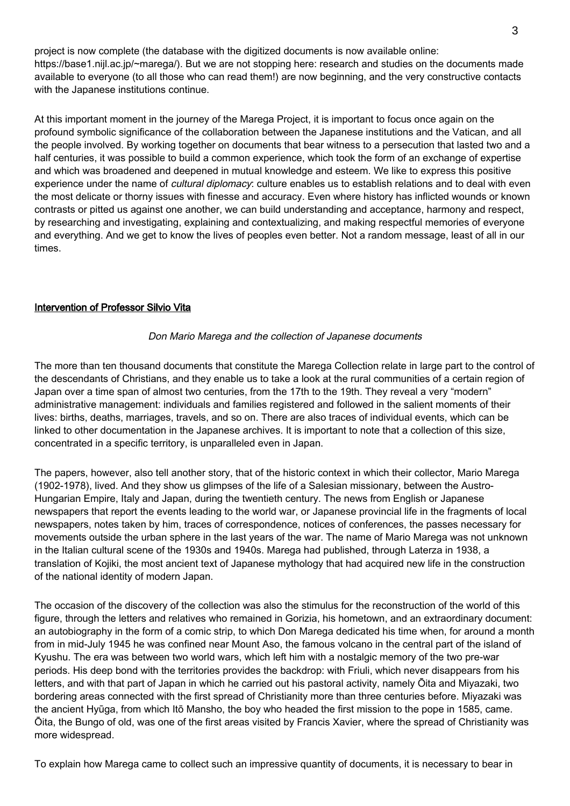project is now complete (the database with the digitized documents is now available online: https://base1.nijl.ac.jp/~marega/). But we are not stopping here: research and studies on the documents made available to everyone (to all those who can read them!) are now beginning, and the very constructive contacts with the Japanese institutions continue.

At this important moment in the journey of the Marega Project, it is important to focus once again on the profound symbolic significance of the collaboration between the Japanese institutions and the Vatican, and all the people involved. By working together on documents that bear witness to a persecution that lasted two and a half centuries, it was possible to build a common experience, which took the form of an exchange of expertise and which was broadened and deepened in mutual knowledge and esteem. We like to express this positive experience under the name of *cultural diplomacy*: culture enables us to establish relations and to deal with even the most delicate or thorny issues with finesse and accuracy. Even where history has inflicted wounds or known contrasts or pitted us against one another, we can build understanding and acceptance, harmony and respect, by researching and investigating, explaining and contextualizing, and making respectful memories of everyone and everything. And we get to know the lives of peoples even better. Not a random message, least of all in our times.

## Intervention of Professor Silvio Vita

#### Don Mario Marega and the collection of Japanese documents

The more than ten thousand documents that constitute the Marega Collection relate in large part to the control of the descendants of Christians, and they enable us to take a look at the rural communities of a certain region of Japan over a time span of almost two centuries, from the 17th to the 19th. They reveal a very "modern" administrative management: individuals and families registered and followed in the salient moments of their lives: births, deaths, marriages, travels, and so on. There are also traces of individual events, which can be linked to other documentation in the Japanese archives. It is important to note that a collection of this size, concentrated in a specific territory, is unparalleled even in Japan.

The papers, however, also tell another story, that of the historic context in which their collector, Mario Marega (1902-1978), lived. And they show us glimpses of the life of a Salesian missionary, between the Austro-Hungarian Empire, Italy and Japan, during the twentieth century. The news from English or Japanese newspapers that report the events leading to the world war, or Japanese provincial life in the fragments of local newspapers, notes taken by him, traces of correspondence, notices of conferences, the passes necessary for movements outside the urban sphere in the last years of the war. The name of Mario Marega was not unknown in the Italian cultural scene of the 1930s and 1940s. Marega had published, through Laterza in 1938, a translation of Kojiki, the most ancient text of Japanese mythology that had acquired new life in the construction of the national identity of modern Japan.

The occasion of the discovery of the collection was also the stimulus for the reconstruction of the world of this figure, through the letters and relatives who remained in Gorizia, his hometown, and an extraordinary document: an autobiography in the form of a comic strip, to which Don Marega dedicated his time when, for around a month from in mid-July 1945 he was confined near Mount Aso, the famous volcano in the central part of the island of Kyushu. The era was between two world wars, which left him with a nostalgic memory of the two pre-war periods. His deep bond with the territories provides the backdrop: with Friuli, which never disappears from his letters, and with that part of Japan in which he carried out his pastoral activity, namely Ōita and Miyazaki, two bordering areas connected with the first spread of Christianity more than three centuries before. Miyazaki was the ancient Hyūga, from which Itō Mansho, the boy who headed the first mission to the pope in 1585, came. Ōita, the Bungo of old, was one of the first areas visited by Francis Xavier, where the spread of Christianity was more widespread.